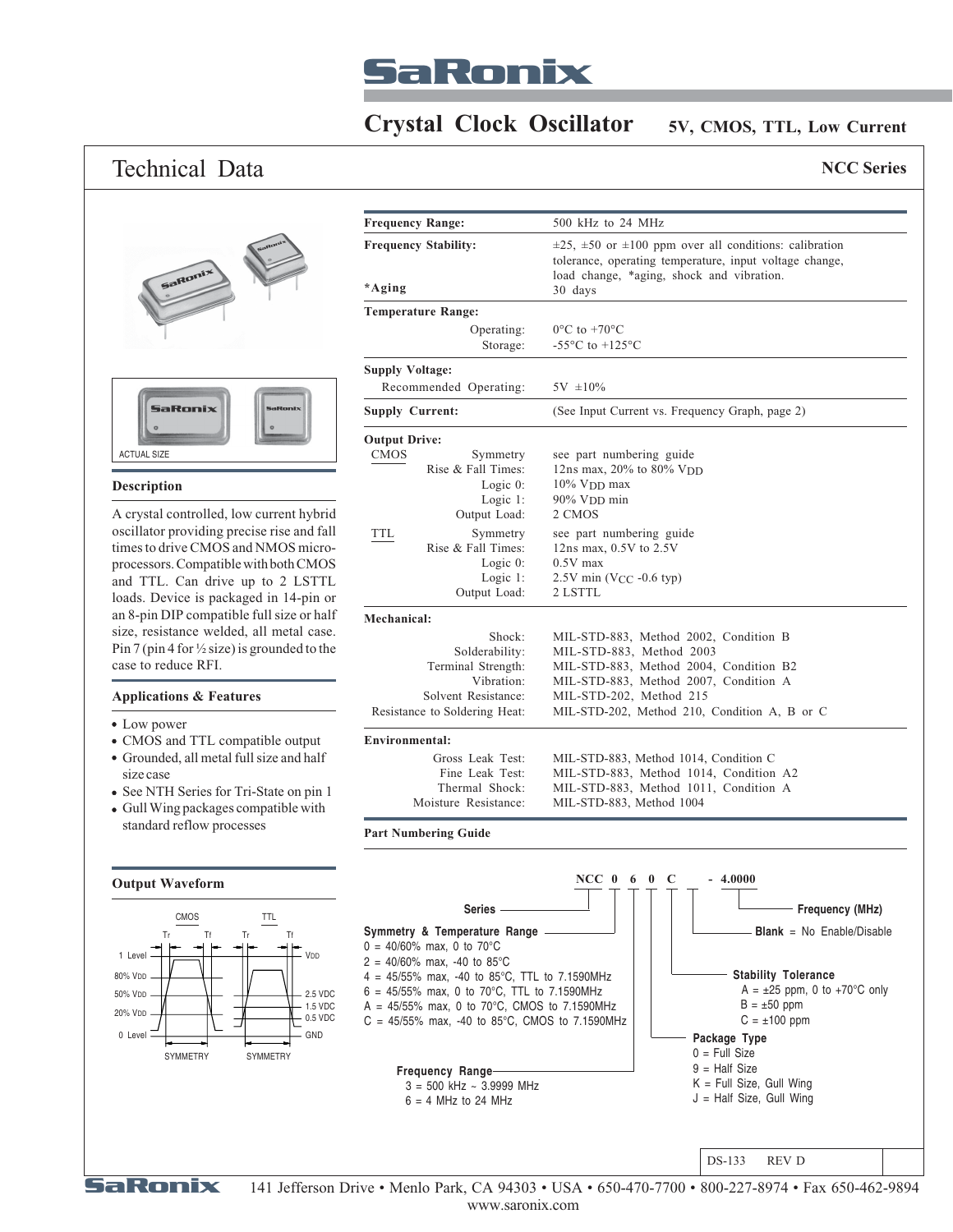

**Temperature Range:**

**Supply Voltage:**

**\*Aging**

**Output Drive:**

**Mechanical:**

**Environmental:**

**Part Numbering Guide**

CMOS Symmetry

TTL Symmetry Rise & Fall Times:

Rise & Fall Times:

Frequency Range: 500 kHz to 24 MHz

Operating: Storage:

Recommended Operating:  $5V \pm 10\%$ 

Logic 0: Logic 1: Output Load:

Logic 0: Logic 1: Output Load:

Shock: Solderability: Terminal Strength: Vibration: Solvent Resistance: Resistance to Soldering Heat:

> Gross Leak Test: Fine Leak Test: Thermal Shock: Moisture Resistance:

### **Crystal Clock Oscillator**

**Frequency Stability:**  $\pm 25$ ,  $\pm 50$  or  $\pm 100$  ppm over all conditions: calibration

30 days

 $0^{\circ}$ C to  $+70^{\circ}$ C -55°C to +125°C

**Supply Current:** (See Input Current vs. Frequency Graph, page 2)

10% VDD max 90% VDD min 2 CMOS

0.5V max

2 LSTTL

see part numbering guide 12ns max, 20% to 80% VDD

see part numbering guide 12ns max, 0.5V to 2.5V

2.5V min (VCC -0.6 typ)

MIL-STD-883, Method 2003

MIL-STD-202, Method 215

MIL-STD-883, Method 1004

MIL-STD-883, Method 2002, Condition B

MIL-STD-883, Method 2004, Condition B2 MIL-STD-883, Method 2007, Condition A

MIL-STD-883, Method 1014, Condition C MIL-STD-883, Method 1014, Condition A2 MIL-STD-883, Method 1011, Condition A

MIL-STD-202, Method 210, Condition A, B or C

tolerance, operating temperature, input voltage change,

load change, \*aging, shock and vibration.

**5V, CMOS, TTL, Low Current**

### **Technical Data NCC Series**



#### **Description**

A crystal controlled, low current hybrid oscillator providing precise rise and fall times to drive CMOS and NMOS microprocessors. Compatible with both CMOS and TTL. Can drive up to 2 LSTTL loads. Device is packaged in 14-pin or an 8-pin DIP compatible full size or half size, resistance welded, all metal case. Pin 7 (pin 4 for  $\frac{1}{2}$  size) is grounded to the case to reduce RFI.

#### **Applications & Features**

- Low power
- CMOS and TTL compatible output Grounded, all metal full size and half
- size case See NTH Series for Tri-State on pin 1
- Gull Wing packages compatible with standard reflow processes